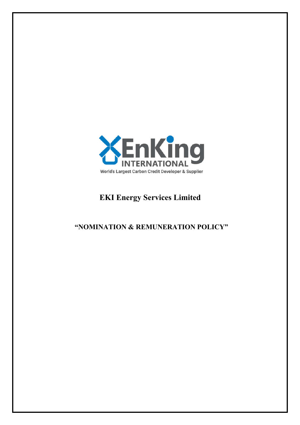

# **EKI Energy Services Limited**

## **"NOMINATION & REMUNERATION POLICY"**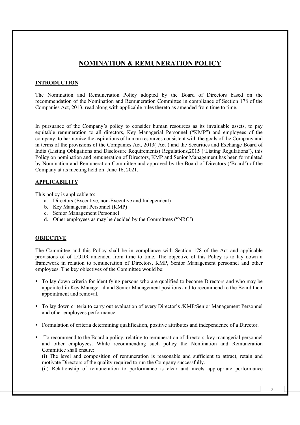### **NOMINATION & REMUNERATION POLICY**

#### **INTRODUCTION**

The Nomination and Remuneration Policy adopted by the Board of Directors based on the recommendation of the Nomination and Remuneration Committee in compliance of Section 178 of the Companies Act, 2013, read along with applicable rules thereto as amended from time to time.

In pursuance of the Company's policy to consider human resources as its invaluable assets, to pay equitable remuneration to all directors, Key Managerial Personnel ("KMP") and employees of the company, to harmonize the aspirations of human resources consistent with the goals of the Company and in terms of the provisions of the Companies Act, 2013('Act') and the Securities and Exchange Board of India (Listing Obligations and Disclosure Requirements) Regulations,2015 ('Listing Regulations'), this Policy on nomination and remuneration of Directors, KMP and Senior Management has been formulated by Nomination and Remuneration Committee and approved by the Board of Directors ('Board') of the Company at its meeting held on June 16, 2021.

#### **APPLICABILITY**

This policy is applicable to:

- a. Directors (Executive, non-Executive and Independent)
- b. Key Managerial Personnel (KMP)
- c. Senior Management Personnel
- d. Other employees as may be decided by the Committees ("NRC')

#### **OBJECTIVE**

The Committee and this Policy shall be in compliance with Section 178 of the Act and applicable provisions of of LODR amended from time to time. The objective of this Policy is to lay down a framework in relation to remuneration of Directors, KMP, Senior Management personnel and other employees. The key objectives of the Committee would be:

- To lay down criteria for identifying persons who are qualified to become Directors and who may be appointed in Key Managerial and Senior Management positions and to recommend to the Board their appointment and removal.
- To lay down criteria to carry out evaluation of every Director's /KMP/Senior Management Personnel and other employees performance.
- Formulation of criteria determining qualification, positive attributes and independence of a Director.
- To recommend to the Board a policy, relating to remuneration of directors, key managerial personnel and other employees. While recommending such policy the Nomination and Remuneration Committee shall ensure:

(i) The level and composition of remuneration is reasonable and sufficient to attract, retain and motivate Directors of the quality required to run the Company successfully.

(ii) Relationship of remuneration to performance is clear and meets appropriate performance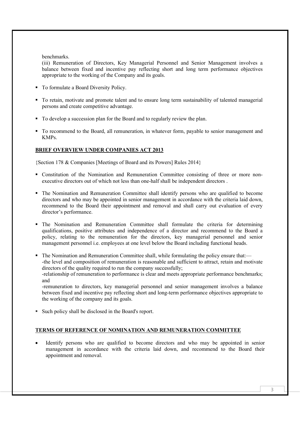benchmarks.

(iii) Remuneration of Directors, Key Managerial Personnel and Senior Management involves a balance between fixed and incentive pay reflecting short and long term performance objectives appropriate to the working of the Company and its goals.

- To formulate a Board Diversity Policy.
- To retain, motivate and promote talent and to ensure long term sustainability of talented managerial persons and create competitive advantage.
- To develop a succession plan for the Board and to regularly review the plan.
- To recommend to the Board, all remuneration, in whatever form, payable to senior management and KMPs.

#### **BRIEF OVERVIEW UNDER COMPANIES ACT 2013**

{Section 178 & Companies [Meetings of Board and its Powers] Rules 2014}

- Constitution of the Nomination and Remuneration Committee consisting of three or more nonexecutive directors out of which not less than one-half shall be independent directors .
- The Nomination and Remuneration Committee shall identify persons who are qualified to become directors and who may be appointed in senior management in accordance with the criteria laid down, recommend to the Board their appointment and removal and shall carry out evaluation of every director's performance.
- The Nomination and Remuneration Committee shall formulate the criteria for determining qualifications, positive attributes and independence of a director and recommend to the Board a policy, relating to the remuneration for the directors, key managerial personnel and senior management personnel i.e. employees at one level below the Board including functional heads.
- The Nomination and Remuneration Committee shall, while formulating the policy ensure that:— -the level and composition of remuneration is reasonable and sufficient to attract, retain and motivate directors of the quality required to run the company successfully; -relationship of remuneration to performance is clear and meets appropriate performance benchmarks; and

-remuneration to directors, key managerial personnel and senior management involves a balance between fixed and incentive pay reflecting short and long-term performance objectives appropriate to the working of the company and its goals.

Such policy shall be disclosed in the Board's report.

#### **TERMS OF REFERENCE OF NOMINATION AND REMUNERATION COMMITTEE**

 Identify persons who are qualified to become directors and who may be appointed in senior management in accordance with the criteria laid down, and recommend to the Board their appointment and removal.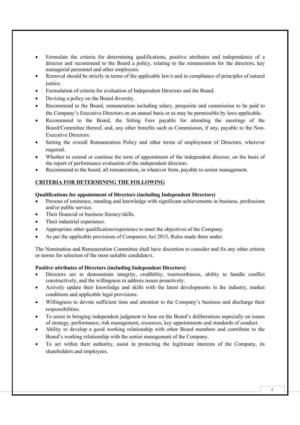- Formulate the criteria for determining qualifications, positive attributes and independence of a director and recommend to the Board a policy, relating to the remuneration for the directors, key managerial personnel and other employees.
- Removal should be strictly in terms of the applicable law/s and in compliance of principles of natural justice.
- Formulation of criteria for evaluation of Independent Directors and the Board.
- Devising a policy on the Board diversity.
- Recommend to the Board, remuneration including salary, perquisite and commission to be paid to the Company's Executive Directors on an annual basis or as may be permissible by laws applicable.
- Recommend to the Board, the Sitting Fees payable for attending the meetings of the Board/Committee thereof, and, any other benefits such as Commission, if any, payable to the Non-Executive Directors.
- Setting the overall Remuneration Policy and other terms of employment of Directors, wherever required.
- Whether to extend or continue the term of appointment of the independent director, on the basis of the report of performance evaluation of the independent directors.
- Recommend to the board, all remuneration, in whatever form, payable to senior management.

#### **CRITERIA FOR DETERMINING THE FOLLOWING**

#### **Qualifications for appointment of Directors (including Independent Directors)**

- Persons of eminence, standing and knowledge with significant achievements in business, professions and/or public service.
- Their financial or business literacy/skills.
- Their industrial experience.
- Appropriate other qualification/experience to meet the objectives of the Company.
- As per the applicable provisions of Companies Act 2013, Rules made there under.

The Nomination and Remuneration Committee shall have discretion to consider and fix any other criteria or norms for selection of the most suitable candidate/s.

#### **Positive attributes of Directors (including Independent Directors)**

- Directors are to demonstrate integrity, credibility, trustworthiness, ability to handle conflict constructively, and the willingness to address issues proactively.
- Actively update their knowledge and skills with the latest developments in the industry, market conditions and applicable legal provisions.
- Willingness to devote sufficient time and attention to the Company's business and discharge their responsibilities.
- To assist in bringing independent judgment to bear on the Board's deliberations especially on issues of strategy, performance, risk management, resources, key appointments and standards of conduct.
- Ability to develop a good working relationship with other Board members and contribute to the Board's working relationship with the senior management of the Company.
- To act within their authority, assist in protecting the legitimate interests of the Company, its shareholders and employees.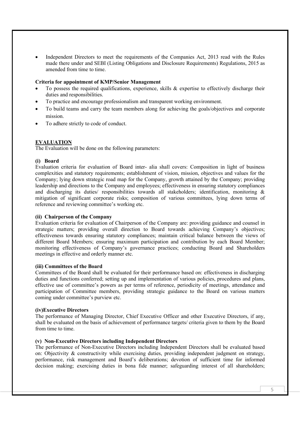Independent Directors to meet the requirements of the Companies Act, 2013 read with the Rules made there under and SEBI (Listing Obligations and Disclosure Requirements) Regulations, 2015 as amended from time to time.

#### **Criteria for appointment of KMP/Senior Management**

- To possess the required qualifications, experience, skills & expertise to effectively discharge their duties and responsibilities.
- To practice and encourage professionalism and transparent working environment.
- To build teams and carry the team members along for achieving the goals/objectives and corporate mission.
- To adhere strictly to code of conduct.

#### **EVALUATION**

The Evaluation will be done on the following parameters:

#### **(i) Board**

Evaluation criteria for evaluation of Board inter- alia shall covers: Composition in light of business complexities and statutory requirements; establishment of vision, mission, objectives and values for the Company; lying down strategic road map for the Company, growth attained by the Company; providing leadership and directions to the Company and employees; effectiveness in ensuring statutory compliances and discharging its duties/ responsibilities towards all stakeholders; identification, monitoring & mitigation of significant corporate risks; composition of various committees, lying down terms of reference and reviewing committee's working etc.

#### **(ii) Chairperson of the Company**

Evaluation criteria for evaluation of Chairperson of the Company are: providing guidance and counsel in strategic matters; providing overall direction to Board towards achieving Company's objectives; effectiveness towards ensuring statutory compliances; maintain critical balance between the views of different Board Members; ensuring maximum participation and contribution by each Board Member; monitoring effectiveness of Company's governance practices; conducting Board and Shareholders meetings in effective and orderly manner etc.

#### **(iii) Committees of the Board**

Committees of the Board shall be evaluated for their performance based on: effectiveness in discharging duties and functions conferred; setting up and implementation of various policies, procedures and plans, effective use of committee's powers as per terms of reference, periodicity of meetings, attendance and participation of Committee members, providing strategic guidance to the Board on various matters coming under committee's purview etc.

#### **(iv)Executive Directors**

The performance of Managing Director, Chief Executive Officer and other Executive Directors, if any, shall be evaluated on the basis of achievement of performance targets/ criteria given to them by the Board from time to time.

#### **(v) Non-Executive Directors including Independent Directors**

The performance of Non-Executive Directors including Independent Directors shall be evaluated based on: Objectivity & constructivity while exercising duties, providing independent judgment on strategy, performance, risk management and Board's deliberations; devotion of sufficient time for informed decision making; exercising duties in bona fide manner; safeguarding interest of all shareholders;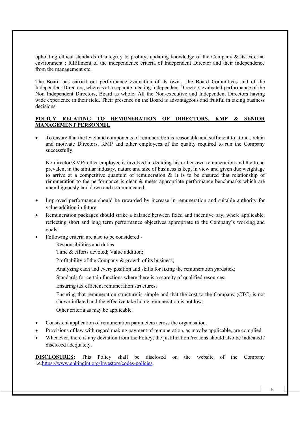upholding ethical standards of integrity  $\&$  probity; updating knowledge of the Company  $\&$  its external environment ; fulfillment of the independence criteria of Independent Director and their independence from the management etc.

The Board has carried out performance evaluation of its own , the Board Committees and of the Independent Directors, whereas at a separate meeting Independent Directors evaluated performance of the Non Independent Directors, Board as whole. All the Non-executive and Independent Directors having wide experience in their field. Their presence on the Board is advantageous and fruitful in taking business decisions.

#### **POLICY RELATING TO REMUNERATION OF DIRECTORS, KMP & SENIOR MANAGEMENT PERSONNEL**

 To ensure that the level and components of remuneration is reasonable and sufficient to attract, retain and motivate Directors, KMP and other employees of the quality required to run the Company successfully.

No director/KMP/ other employee is involved in deciding his or her own remuneration and the trend prevalent in the similar industry, nature and size of business is kept in view and given due weightage to arrive at a competitive quantum of remuneration & It is to be ensured that relationship of remuneration to the performance is clear & meets appropriate performance benchmarks which are unambiguously laid down and communicated.

- Improved performance should be rewarded by increase in remuneration and suitable authority for value addition in future.
- Remuneration packages should strike a balance between fixed and incentive pay, where applicable, reflecting short and long term performance objectives appropriate to the Company's working and goals.
- Following criteria are also to be considered:-

Responsibilities and duties;

- Time & efforts devoted; Value addition;
- Profitability of the Company & growth of its business;
- Analyzing each and every position and skills for fixing the remuneration yardstick;
- Standards for certain functions where there is a scarcity of qualified resources;
- Ensuring tax efficient remuneration structures;
- Ensuring that remuneration structure is simple and that the cost to the Company (CTC) is not shown inflated and the effective take home remuneration is not low;
- Other criteria as may be applicable.
- Consistent application of remuneration parameters across the organisation.
- Provisions of law with regard making payment of remuneration, as may be applicable, are complied.
- Whenever, there is any deviation from the Policy, the justification /reasons should also be indicated / disclosed adequately.

**DISCLOSURES:** This Policy shall be disclosed on the website of the Company i.e.https://www.enkingint.org/Investors/codes-policies.